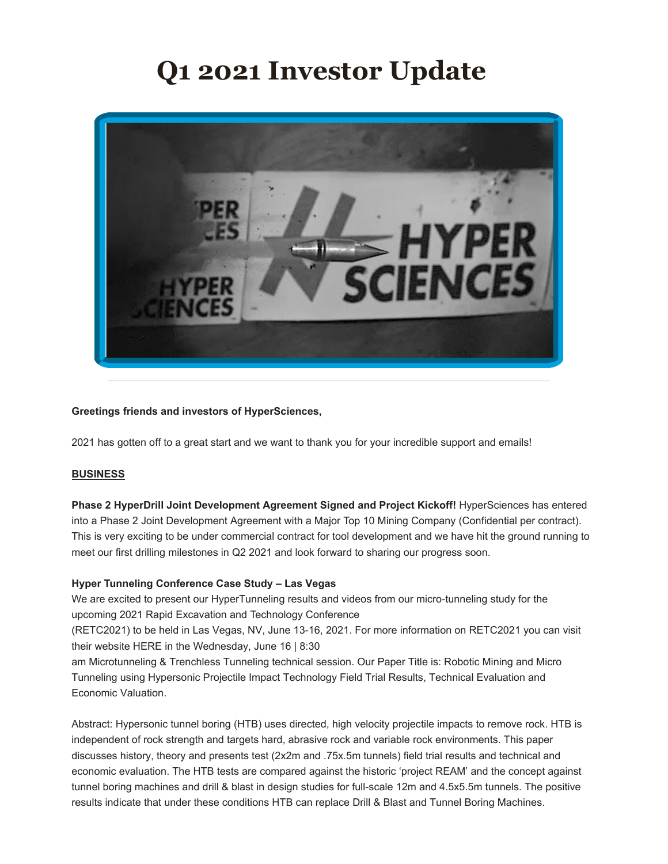# **Q1 2021 Investor Update**



# **Greetings friends and investors of HyperSciences,**

2021 has gotten off to a great start and we want to thank you for your incredible support and emails!

# **BUSINESS**

**Phase 2 HyperDrill Joint Development Agreement Signed and Project Kickoff!** HyperSciences has entered into a Phase 2 Joint Development Agreement with a Major Top 10 Mining Company (Confidential per contract). This is very exciting to be under commercial contract for tool development and we have hit the ground running to meet our first drilling milestones in Q2 2021 and look forward to sharing our progress soon.

# **Hyper Tunneling Conference Case Study – Las Vegas**

We are excited to present our HyperTunneling results and videos from our micro-tunneling study for the upcoming 2021 Rapid Excavation and Technology Conference

(RETC2021) to be held in Las Vegas, NV, June 13-16, 2021. For more information on RETC2021 you can visit their website HERE in the Wednesday, June 16 | 8:30

am Microtunneling & Trenchless Tunneling technical session. Our Paper Title is: Robotic Mining and Micro Tunneling using Hypersonic Projectile Impact Technology Field Trial Results, Technical Evaluation and Economic Valuation.

Abstract: Hypersonic tunnel boring (HTB) uses directed, high velocity projectile impacts to remove rock. HTB is independent of rock strength and targets hard, abrasive rock and variable rock environments. This paper discusses history, theory and presents test (2x2m and .75x.5m tunnels) field trial results and technical and economic evaluation. The HTB tests are compared against the historic 'project REAM' and the concept against tunnel boring machines and drill & blast in design studies for full-scale 12m and 4.5x5.5m tunnels. The positive results indicate that under these conditions HTB can replace Drill & Blast and Tunnel Boring Machines.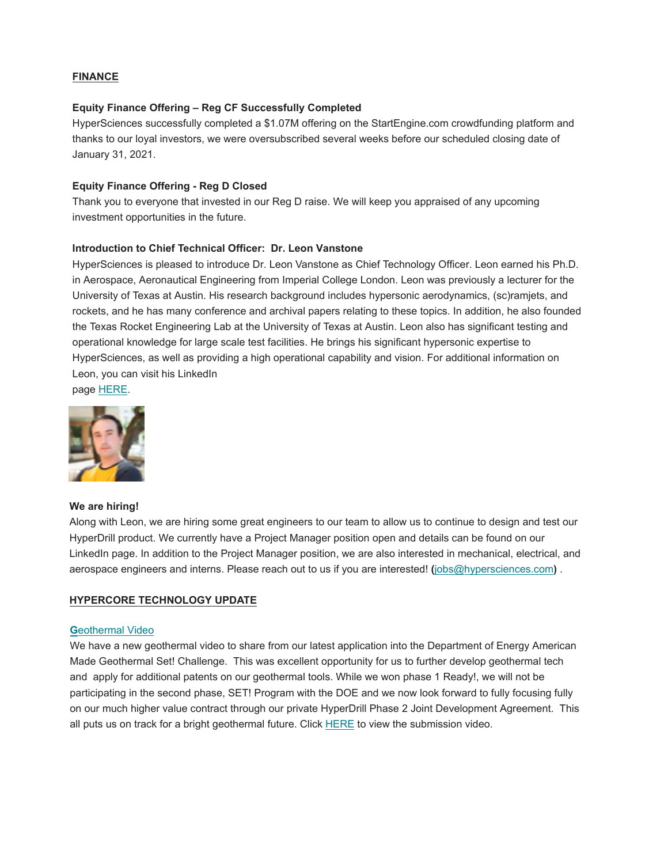# **FINANCE**

# **Equity Finance Offering – Reg CF Successfully Completed**

HyperSciences successfully completed a \$1.07M offering on the StartEngine.com crowdfunding platform and thanks to our loyal investors, we were oversubscribed several weeks before our scheduled closing date of January 31, 2021.

## **Equity Finance Offering - Reg D Closed**

Thank you to everyone that invested in our Reg D raise. We will keep you appraised of any upcoming investment opportunities in the future.

#### **Introduction to Chief Technical Officer: Dr. Leon Vanstone**

HyperSciences is pleased to introduce Dr. Leon Vanstone as Chief Technology Officer. Leon earned his Ph.D. in Aerospace, Aeronautical Engineering from Imperial College London. Leon was previously a lecturer for the University of Texas at Austin. His research background includes hypersonic aerodynamics, (sc)ramjets, and rockets, and he has many conference and archival papers relating to these topics. In addition, he also founded the Texas Rocket Engineering Lab at the University of Texas at Austin. Leon also has significant testing and operational knowledge for large scale test facilities. He brings his significant hypersonic expertise to HyperSciences, as well as providing a high operational capability and vision. For additional information on Leon, you can visit his LinkedIn

page HERE.



#### **We are hiring!**

Along with Leon, we are hiring some great engineers to our team to allow us to continue to design and test our HyperDrill product. We currently have a Project Manager position open and details can be found on our LinkedIn page. In addition to the Project Manager position, we are also interested in mechanical, electrical, and aerospace engineers and interns. Please reach out to us if you are interested! **(**jobs@hypersciences.com**)** .

# **HYPERCORE TECHNOLOGY UPDATE**

#### **G**eothermal Video

We have a new geothermal video to share from our latest application into the Department of Energy American Made Geothermal Set! Challenge. This was excellent opportunity for us to further develop geothermal tech and apply for additional patents on our geothermal tools. While we won phase 1 Ready!, we will not be participating in the second phase, SET! Program with the DOE and we now look forward to fully focusing fully on our much higher value contract through our private HyperDrill Phase 2 Joint Development Agreement. This all puts us on track for a bright geothermal future. Click HERE to view the submission video.